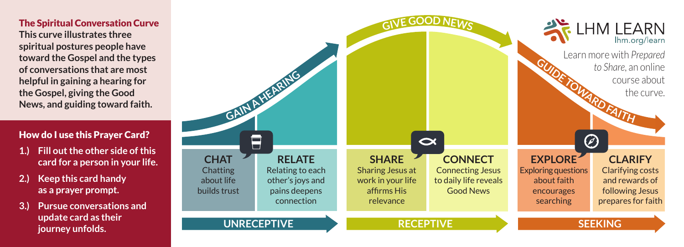## The Spiritual Conversation Curve

**This curve illustrates three spiritual postures people have toward the Gospel and the types of conversations that are most helpful in gaining a hearing for the Gospel, giving the Good News, and guiding toward faith.**

## How do I use this Prayer Card?

- **1.) Fill out the other side of this card for a person in your life.**
- **2.) Keep this card handy as a prayer prompt.**
- **3.) Pursue conversations and update card as their journey unfolds.**